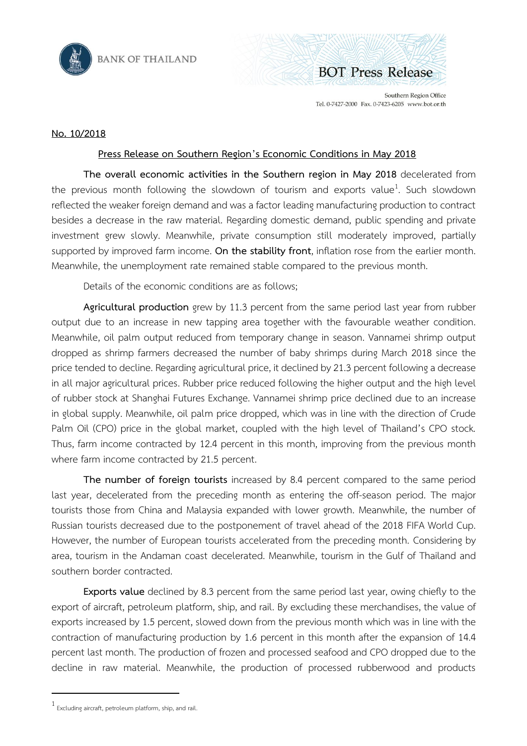



Southern Region Office Tel. 0-7427-2000 Fax. 0-7423-6205 www.bot.or.th

## **No. 10/2018**

## **Press Release on Southern Region's Economic Conditions in May 2018**

**The overall economic activities in the Southern region in May 2018** decelerated from the previous month following the slowdown of tourism and exports value<sup>1</sup>. Such slowdown reflected the weaker foreign demand and was a factor leading manufacturing production to contract besides a decrease in the raw material. Regarding domestic demand, public spending and private investment grew slowly. Meanwhile, private consumption still moderately improved, partially supported by improved farm income. **On the stability front**, inflation rose from the earlier month. Meanwhile, the unemployment rate remained stable compared to the previous month.

Details of the economic conditions are as follows;

**Agricultural production** grew by 11.3 percent from the same period last year from rubber output due to an increase in new tapping area together with the favourable weather condition. Meanwhile, oil palm output reduced from temporary change in season. Vannamei shrimp output dropped as shrimp farmers decreased the number of baby shrimps during March 2018 since the price tended to decline. Regarding agricultural price, it declined by 21.3 percent following a decrease in all major agricultural prices. Rubber price reduced following the higher output and the high level of rubber stock at Shanghai Futures Exchange. Vannamei shrimp price declined due to an increase in global supply. Meanwhile, oil palm price dropped, which was in line with the direction of Crude Palm Oil (CPO) price in the global market, coupled with the high level of Thailand's CPO stock. Thus, farm income contracted by 12.4 percent in this month, improving from the previous month where farm income contracted by 21.5 percent.

**The number of foreign tourists** increased by 8.4 percent compared to the same period last year, decelerated from the preceding month as entering the off-season period. The major tourists those from China and Malaysia expanded with lower growth. Meanwhile, the number of Russian tourists decreased due to the postponement of travel ahead of the 2018 FIFA World Cup. However, the number of European tourists accelerated from the preceding month. Considering by area, tourism in the Andaman coast decelerated. Meanwhile, tourism in the Gulf of Thailand and southern border contracted.

**Exports value** declined by 8.3 percent from the same period last year, owing chiefly to the export of aircraft, petroleum platform, ship, and rail. By excluding these merchandises, the value of exports increased by 1.5 percent, slowed down from the previous month which was in line with the contraction of manufacturing production by 1.6 percent in this month after the expansion of 14.4 percent last month. The production of frozen and processed seafood and CPO dropped due to the decline in raw material. Meanwhile, the production of processed rubberwood and products

 $\overline{a}$ 

<sup>1</sup> Excluding aircraft, petroleum platform, ship, and rail.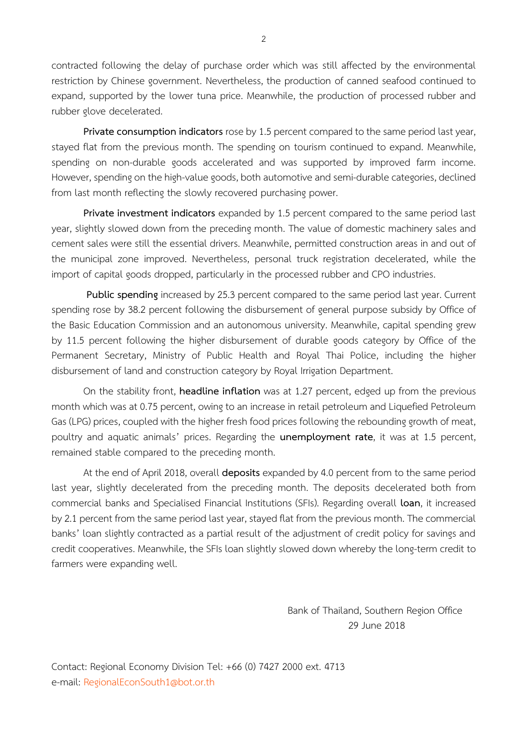contracted following the delay of purchase order which was still affected by the environmental restriction by Chinese government. Nevertheless, the production of canned seafood continued to expand, supported by the lower tuna price. Meanwhile, the production of processed rubber and rubber glove decelerated.

**Private consumption indicators** rose by 1.5 percent compared to the same period last year, stayed flat from the previous month. The spending on tourism continued to expand. Meanwhile, spending on non-durable goods accelerated and was supported by improved farm income. However, spending on the high-value goods, both automotive and semi-durable categories, declined from last month reflecting the slowly recovered purchasing power.

**Private investment indicators** expanded by 1.5 percent compared to the same period last year, slightly slowed down from the preceding month. The value of domestic machinery sales and cement sales were still the essential drivers. Meanwhile, permitted construction areas in and out of the municipal zone improved. Nevertheless, personal truck registration decelerated, while the import of capital goods dropped, particularly in the processed rubber and CPO industries.

**Public spending** increased by 25.3 percent compared to the same period last year. Current spending rose by 38.2 percent following the disbursement of general purpose subsidy by Office of the Basic Education Commission and an autonomous university. Meanwhile, capital spending grew by 11.5 percent following the higher disbursement of durable goods category by Office of the Permanent Secretary, Ministry of Public Health and Royal Thai Police, including the higher disbursement of land and construction category by Royal Irrigation Department.

On the stability front, **headline inflation** was at 1.27 percent, edged up from the previous month which was at 0.75 percent, owing to an increase in retail petroleum and Liquefied Petroleum Gas (LPG) prices, coupled with the higher fresh food prices following the rebounding growth of meat, poultry and aquatic animals' prices. Regarding the **unemployment rate**, it was at 1.5 percent, remained stable compared to the preceding month.

At the end of April 2018, overall **deposits** expanded by 4.0 percent from to the same period last year, slightly decelerated from the preceding month. The deposits decelerated both from commercial banks and Specialised Financial Institutions (SFIs). Regarding overall **loan**, it increased by 2.1 percent from the same period last year, stayed flat from the previous month. The commercial banks' loan slightly contracted as a partial result of the adjustment of credit policy for savings and credit cooperatives. Meanwhile, the SFIs loan slightly slowed down whereby the long-term credit to farmers were expanding well.

> Bank of Thailand, Southern Region Office 29 June 2018

Contact: Regional Economy Division Tel: +66 (0) 7427 2000 ext. 4713 e-mail: [RegionalEconSouth](mailto:RegionalEconSouth1@bot.or.th)1@bot.or.th